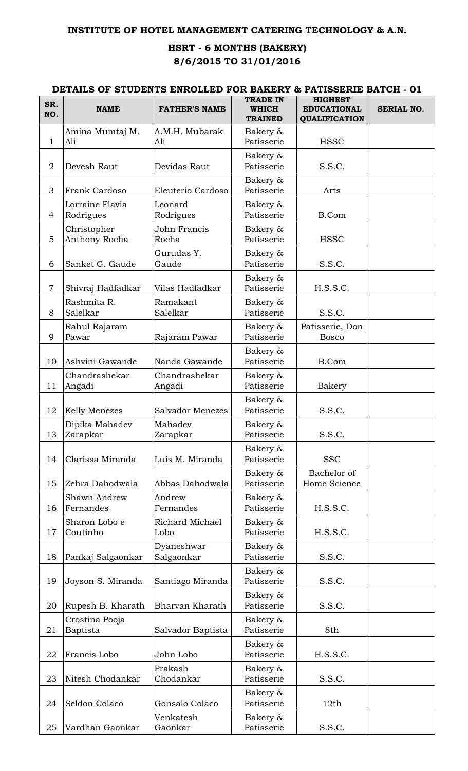## **INSTITUTE OF HOTEL MANAGEMENT CATERING TECHNOLOGY & A.N.**

## **HSRT - 6 MONTHS (BAKERY) 8/6/2015 TO 31/01/2016**

## **DETAILS OF STUDENTS ENROLLED FOR BAKERY & PATISSERIE BATCH - 01**

| SR.<br>NO.     | <b>NAME</b>                      | <b>FATHER'S NAME</b>     | <b>TRADE IN</b><br><b>WHICH</b> | <b>HIGHEST</b><br><b>EDUCATIONAL</b> | SERIAL NO. |
|----------------|----------------------------------|--------------------------|---------------------------------|--------------------------------------|------------|
|                |                                  |                          | <b>TRAINED</b>                  | <b>QUALIFICATION</b>                 |            |
| $\mathbf{1}$   | Amina Mumtaj M.<br>Ali           | A.M.H. Mubarak<br>Ali    | Bakery &<br>Patisserie          | <b>HSSC</b>                          |            |
| $\overline{2}$ | Devesh Raut                      | Devidas Raut             | Bakery &<br>Patisserie          | S.S.C.                               |            |
| 3              | Frank Cardoso                    | Eleuterio Cardoso        | Bakery &<br>Patisserie          | Arts                                 |            |
| $\overline{4}$ | Lorraine Flavia<br>Rodrigues     | Leonard<br>Rodrigues     | Bakery &<br>Patisserie          | <b>B.Com</b>                         |            |
| 5              | Christopher<br>Anthony Rocha     | John Francis<br>Rocha    | Bakery &<br>Patisserie          | <b>HSSC</b>                          |            |
| 6              | Sanket G. Gaude                  | Gurudas Y.<br>Gaude      | Bakery &<br>Patisserie          | S.S.C.                               |            |
| $\overline{7}$ | Shivraj Hadfadkar                | Vilas Hadfadkar          | Bakery &<br>Patisserie          | H.S.S.C.                             |            |
| 8              | Rashmita R.<br>Salelkar          | Ramakant<br>Salelkar     | Bakery &<br>Patisserie          | S.S.C.                               |            |
| 9              | Rahul Rajaram<br>Pawar           | Rajaram Pawar            | Bakery &<br>Patisserie          | Patisserie, Don<br><b>Bosco</b>      |            |
| 10             | Ashvini Gawande                  | Nanda Gawande            | Bakery &<br>Patisserie          | <b>B.Com</b>                         |            |
| 11             | Chandrashekar<br>Angadi          | Chandrashekar<br>Angadi  | Bakery &<br>Patisserie          | Bakery                               |            |
| 12             | <b>Kelly Menezes</b>             | <b>Salvador Menezes</b>  | Bakery &<br>Patisserie          | S.S.C.                               |            |
| 13             | Dipika Mahadev<br>Zarapkar       | Mahadev<br>Zarapkar      | Bakery &<br>Patisserie          | S.S.C.                               |            |
| 14             | Clarissa Miranda                 | Luis M. Miranda          | Bakery &<br>Patisserie          | <b>SSC</b>                           |            |
| 15             | Zehra Dahodwala                  | Abbas Dahodwala          | Bakery &<br>Patisserie          | Bachelor of<br>Home Science          |            |
| 16             | <b>Shawn Andrew</b><br>Fernandes | Andrew<br>Fernandes      | Bakery &<br>Patisserie          | H.S.S.C.                             |            |
| 17             | Sharon Lobo e<br>Coutinho        | Richard Michael<br>Lobo  | Bakery &<br>Patisserie          | H.S.S.C.                             |            |
| 18             | Pankaj Salgaonkar                | Dyaneshwar<br>Salgaonkar | Bakery &<br>Patisserie          | S.S.C.                               |            |
| 19             | Joyson S. Miranda                | Santiago Miranda         | Bakery &<br>Patisserie          | S.S.C.                               |            |
| 20             | Rupesh B. Kharath                | Bharvan Kharath          | Bakery &<br>Patisserie          | S.S.C.                               |            |
| 21             | Crostina Pooja<br>Baptista       | Salvador Baptista        | Bakery &<br>Patisserie          | 8th                                  |            |
| 22             | Francis Lobo                     | John Lobo                | Bakery &<br>Patisserie          | H.S.S.C.                             |            |
| 23             | Nitesh Chodankar                 | Prakash<br>Chodankar     | Bakery &<br>Patisserie          | S.S.C.                               |            |
| 24             | Seldon Colaco                    | Gonsalo Colaco           | Bakery &<br>Patisserie          | 12th                                 |            |
| 25             | Vardhan Gaonkar                  | Venkatesh<br>Gaonkar     | Bakery &<br>Patisserie          | S.S.C.                               |            |